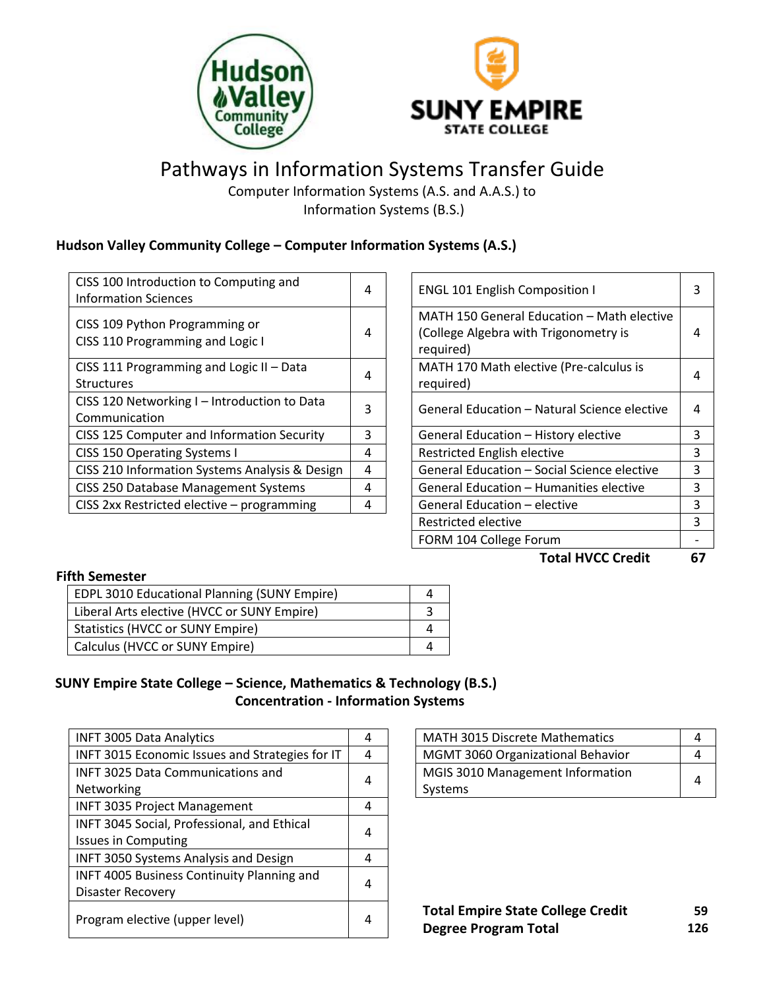



# Pathways in Information Systems Transfer Guide

Computer Information Systems (A.S. and A.A.S.) to Information Systems (B.S.)

## **Hudson Valley Community College – Computer Information Systems (A.S.)**

| CISS 100 Introduction to Computing and<br><b>Information Sciences</b> | 4 | <b>ENGL 101 English Composition I</b>                                                            | 3 |
|-----------------------------------------------------------------------|---|--------------------------------------------------------------------------------------------------|---|
| CISS 109 Python Programming or<br>CISS 110 Programming and Logic I    | 4 | MATH 150 General Education - Math elective<br>(College Algebra with Trigonometry is<br>required) | 4 |
| CISS 111 Programming and Logic II - Data<br><b>Structures</b>         | 4 | MATH 170 Math elective (Pre-calculus is<br>required)                                             | 4 |
| CISS 120 Networking I - Introduction to Data<br>Communication         | 3 | General Education - Natural Science elective                                                     | 4 |
| CISS 125 Computer and Information Security                            | 3 | General Education - History elective                                                             |   |
| CISS 150 Operating Systems I                                          | 4 | <b>Restricted English elective</b>                                                               | 3 |
| CISS 210 Information Systems Analysis & Design                        | 4 | General Education - Social Science elective                                                      | 3 |
| CISS 250 Database Management Systems                                  | 4 | General Education - Humanities elective                                                          |   |
| CISS 2xx Restricted elective - programming                            | 4 | General Education - elective                                                                     | 3 |
|                                                                       |   |                                                                                                  |   |

| General Education – Humanities elective<br>General Education - elective<br>Restricted elective<br>FORM 104 College Forum | 3<br>3<br>3<br>3<br>3 |
|--------------------------------------------------------------------------------------------------------------------------|-----------------------|
|                                                                                                                          |                       |
|                                                                                                                          |                       |
|                                                                                                                          |                       |
|                                                                                                                          |                       |
| General Education – Social Science elective                                                                              |                       |
| <b>Restricted English elective</b>                                                                                       |                       |
| General Education - History elective                                                                                     | 3                     |
| General Education – Natural Science elective                                                                             | 4                     |
| required)                                                                                                                | 4                     |
| MATH 170 Math elective (Pre-calculus is                                                                                  |                       |
| (College Algebra with Trigonometry is<br>required)                                                                       | 4                     |
| MATH 150 General Education – Math elective                                                                               |                       |
| <b>ENGL 101 English Composition I</b>                                                                                    | 3                     |

#### **Fifth Semester**

| EDPL 3010 Educational Planning (SUNY Empire) |  |
|----------------------------------------------|--|
| Liberal Arts elective (HVCC or SUNY Empire)  |  |
| <b>Statistics (HVCC or SUNY Empire)</b>      |  |
| Calculus (HVCC or SUNY Empire)               |  |

## **SUNY Empire State College – Science, Mathematics & Technology (B.S.) Concentration - Information Systems**

| <b>INFT 3005 Data Analytics</b>                   | 4 | <b>MATH 3015 Discrete Mathematics</b>                                   | 4  |
|---------------------------------------------------|---|-------------------------------------------------------------------------|----|
| INFT 3015 Economic Issues and Strategies for IT   | 4 | MGMT 3060 Organizational Behavior                                       | 4  |
| <b>INFT 3025 Data Communications and</b>          | 4 | MGIS 3010 Management Information                                        |    |
| Networking                                        |   | Systems                                                                 | 4  |
| <b>INFT 3035 Project Management</b>               | 4 |                                                                         |    |
| INFT 3045 Social, Professional, and Ethical       | 4 |                                                                         |    |
| <b>Issues in Computing</b>                        |   |                                                                         |    |
| <b>INFT 3050 Systems Analysis and Design</b>      | 4 |                                                                         |    |
| <b>INFT 4005 Business Continuity Planning and</b> |   |                                                                         |    |
| <b>Disaster Recovery</b>                          | 4 |                                                                         |    |
| Program elective (upper level)                    | 4 | <b>Total Empire State College Credit</b><br><b>Degree Program Total</b> | 12 |

| <b>MATH 3015 Discrete Mathematics</b>    |  |
|------------------------------------------|--|
| <b>MGMT 3060 Organizational Behavior</b> |  |
| MGIS 3010 Management Information         |  |
| Systems                                  |  |

**Total Empire State College Credit Degree Program Total 59 126**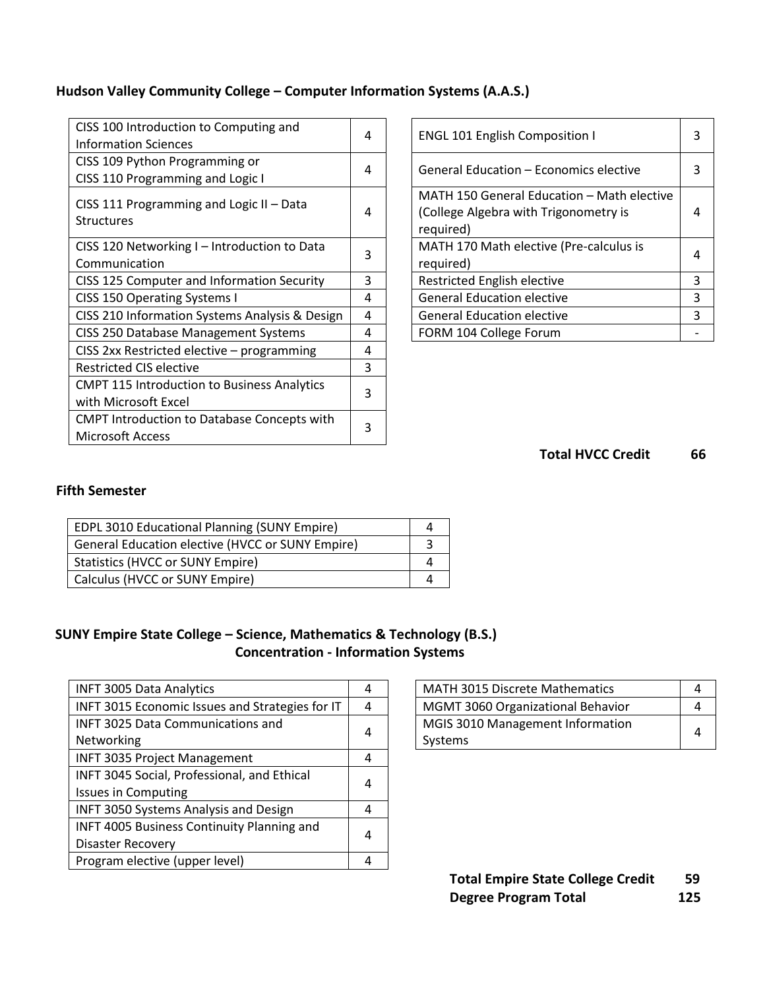## **Hudson Valley Community College – Computer Information Systems (A.A.S.)**

| CISS 100 Introduction to Computing and<br><b>Information Sciences</b>         | 4 | <b>ENGL 101 English Composition I</b>                                                            | 3 |
|-------------------------------------------------------------------------------|---|--------------------------------------------------------------------------------------------------|---|
| CISS 109 Python Programming or<br>CISS 110 Programming and Logic I            | 4 | General Education - Economics elective                                                           | 3 |
| CISS 111 Programming and Logic II - Data<br><b>Structures</b>                 | 4 | MATH 150 General Education - Math elective<br>(College Algebra with Trigonometry is<br>required) | 4 |
| CISS 120 Networking I - Introduction to Data<br>Communication                 | 3 | MATH 170 Math elective (Pre-calculus is<br>required)                                             | 4 |
| CISS 125 Computer and Information Security                                    | 3 | Restricted English elective                                                                      | 3 |
| CISS 150 Operating Systems I                                                  | 4 | <b>General Education elective</b>                                                                | 3 |
| CISS 210 Information Systems Analysis & Design                                | 4 | <b>General Education elective</b>                                                                | 3 |
| CISS 250 Database Management Systems                                          | 4 | FORM 104 College Forum                                                                           |   |
| CISS 2xx Restricted elective - programming                                    | 4 |                                                                                                  |   |
| <b>Restricted CIS elective</b>                                                | 3 |                                                                                                  |   |
| <b>CMPT 115 Introduction to Business Analytics</b><br>with Microsoft Excel    | 3 |                                                                                                  |   |
| <b>CMPT Introduction to Database Concepts with</b><br><b>Microsoft Access</b> | 3 |                                                                                                  |   |

| <b>ENGL 101 English Composition I</b>      |   |  |
|--------------------------------------------|---|--|
| General Education – Economics elective     |   |  |
| MATH 150 General Education - Math elective |   |  |
| (College Algebra with Trigonometry is      |   |  |
| required)                                  |   |  |
| MATH 170 Math elective (Pre-calculus is    |   |  |
| required)                                  |   |  |
| Restricted English elective                | 3 |  |
| <b>General Education elective</b>          |   |  |
| <b>General Education elective</b>          |   |  |
| FORM 104 College Forum                     |   |  |

**Total HVCC Credit 66**

### **Fifth Semester**

| EDPL 3010 Educational Planning (SUNY Empire)     |  |
|--------------------------------------------------|--|
| General Education elective (HVCC or SUNY Empire) |  |
| <b>Statistics (HVCC or SUNY Empire)</b>          |  |
| Calculus (HVCC or SUNY Empire)                   |  |

## **SUNY Empire State College – Science, Mathematics & Technology (B.S.) Concentration - Information Systems**

| <b>INFT 3005 Data Analytics</b>                   | 4 | MATH 3015 Discrete Mathematics    | 4 |
|---------------------------------------------------|---|-----------------------------------|---|
| INFT 3015 Economic Issues and Strategies for IT   | 4 | MGMT 3060 Organizational Behavior | 4 |
| <b>INFT 3025 Data Communications and</b>          | 4 | MGIS 3010 Management Information  |   |
| Networking                                        |   | Systems                           | 4 |
| <b>INFT 3035 Project Management</b>               | 4 |                                   |   |
| INFT 3045 Social, Professional, and Ethical       | 4 |                                   |   |
| <b>Issues in Computing</b>                        |   |                                   |   |
| <b>INFT 3050 Systems Analysis and Design</b>      | 4 |                                   |   |
| <b>INFT 4005 Business Continuity Planning and</b> | 4 |                                   |   |
| <b>Disaster Recovery</b>                          |   |                                   |   |
| Program elective (upper level)                    |   |                                   |   |

| MATH 3015 Discrete Mathematics           |  |  |
|------------------------------------------|--|--|
| <b>MGMT 3060 Organizational Behavior</b> |  |  |
| MGIS 3010 Management Information         |  |  |
| Systems                                  |  |  |

**Total Empire State College Credit 59 Degree Program Total 125**